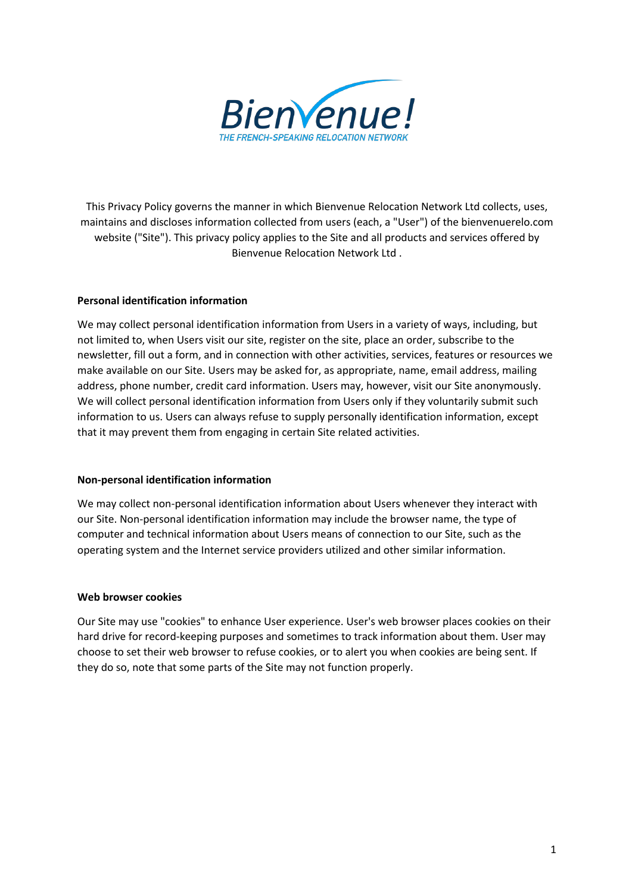

This Privacy Policy governs the manner in which Bienvenue Relocation Network Ltd collects, uses, maintains and discloses information collected from users (each, a "User") of the bienvenuerelo.com website ("Site"). This privacy policy applies to the Site and all products and services offered by Bienvenue Relocation Network Ltd .

# **Personal identification information**

We may collect personal identification information from Users in a variety of ways, including, but not limited to, when Users visit our site, register on the site, place an order, subscribe to the newsletter, fill out a form, and in connection with other activities, services, features or resources we make available on our Site. Users may be asked for, as appropriate, name, email address, mailing address, phone number, credit card information. Users may, however, visit our Site anonymously. We will collect personal identification information from Users only if they voluntarily submit such information to us. Users can always refuse to supply personally identification information, except that it may prevent them from engaging in certain Site related activities.

### **Non-personal identification information**

We may collect non-personal identification information about Users whenever they interact with our Site. Non-personal identification information may include the browser name, the type of computer and technical information about Users means of connection to our Site, such as the operating system and the Internet service providers utilized and other similar information.

### **Web browser cookies**

Our Site may use "cookies" to enhance User experience. User's web browser places cookies on their hard drive for record-keeping purposes and sometimes to track information about them. User may choose to set their web browser to refuse cookies, or to alert you when cookies are being sent. If they do so, note that some parts of the Site may not function properly.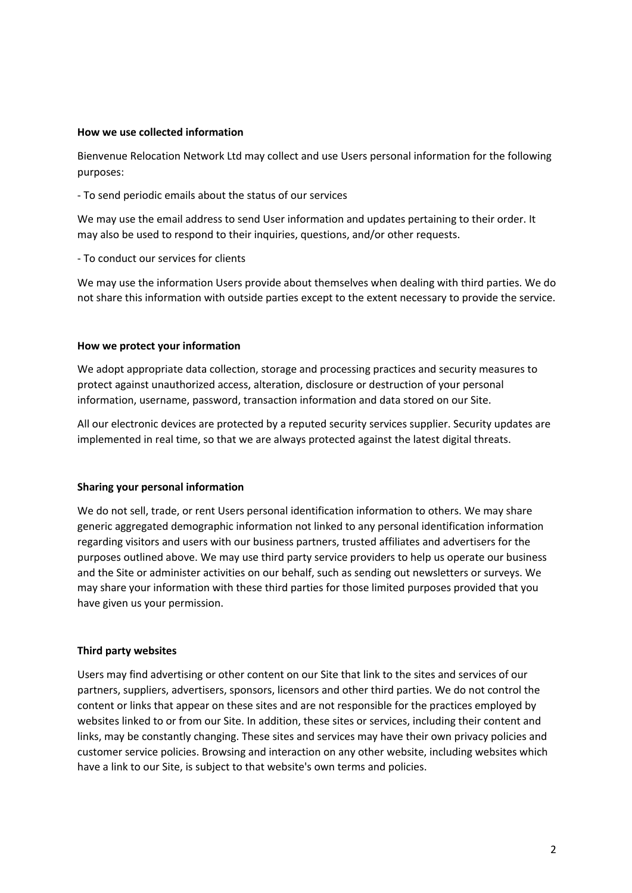#### **How we use collected information**

Bienvenue Relocation Network Ltd may collect and use Users personal information for the following purposes:

- To send periodic emails about the status of our services

We may use the email address to send User information and updates pertaining to their order. It may also be used to respond to their inquiries, questions, and/or other requests.

- To conduct our services for clients

We may use the information Users provide about themselves when dealing with third parties. We do not share this information with outside parties except to the extent necessary to provide the service.

#### **How we protect your information**

We adopt appropriate data collection, storage and processing practices and security measures to protect against unauthorized access, alteration, disclosure or destruction of your personal information, username, password, transaction information and data stored on our Site.

All our electronic devices are protected by a reputed security services supplier. Security updates are implemented in real time, so that we are always protected against the latest digital threats.

### **Sharing your personal information**

We do not sell, trade, or rent Users personal identification information to others. We may share generic aggregated demographic information not linked to any personal identification information regarding visitors and users with our business partners, trusted affiliates and advertisers for the purposes outlined above. We may use third party service providers to help us operate our business and the Site or administer activities on our behalf, such as sending out newsletters or surveys. We may share your information with these third parties for those limited purposes provided that you have given us your permission.

### **Third party websites**

Users may find advertising or other content on our Site that link to the sites and services of our partners, suppliers, advertisers, sponsors, licensors and other third parties. We do not control the content or links that appear on these sites and are not responsible for the practices employed by websites linked to or from our Site. In addition, these sites or services, including their content and links, may be constantly changing. These sites and services may have their own privacy policies and customer service policies. Browsing and interaction on any other website, including websites which have a link to our Site, is subject to that website's own terms and policies.